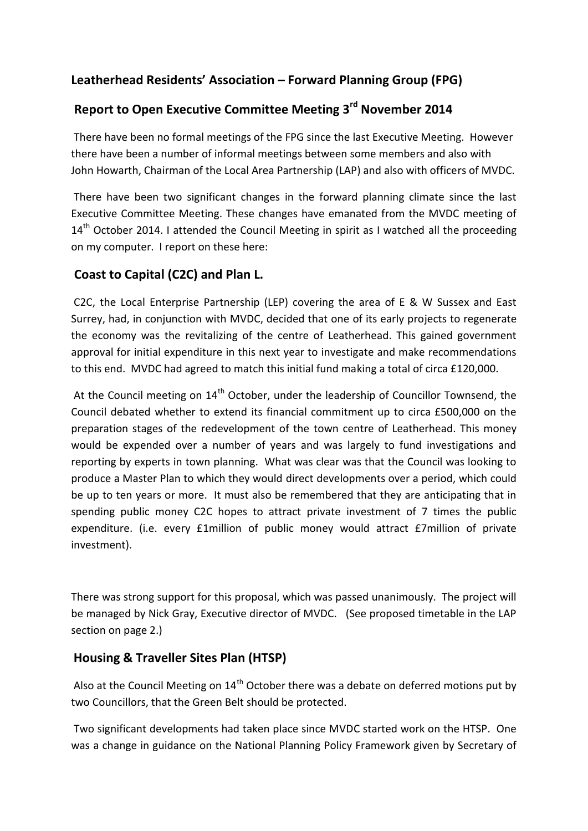## **Leatherhead Residents' Association – Forward Planning Group (FPG)**

# **Report to Open Executive Committee Meeting 3rd November 2014**

There have been no formal meetings of the FPG since the last Executive Meeting. However there have been a number of informal meetings between some members and also with John Howarth, Chairman of the Local Area Partnership (LAP) and also with officers of MVDC.

There have been two significant changes in the forward planning climate since the last Executive Committee Meeting. These changes have emanated from the MVDC meeting of 14<sup>th</sup> October 2014. I attended the Council Meeting in spirit as I watched all the proceeding on my computer. I report on these here:

#### **Coast to Capital (C2C) and Plan L.**

C2C, the Local Enterprise Partnership (LEP) covering the area of E & W Sussex and East Surrey, had, in conjunction with MVDC, decided that one of its early projects to regenerate the economy was the revitalizing of the centre of Leatherhead. This gained government approval for initial expenditure in this next year to investigate and make recommendations to this end. MVDC had agreed to match this initial fund making a total of circa £120,000.

At the Council meeting on 14<sup>th</sup> October, under the leadership of Councillor Townsend, the Council debated whether to extend its financial commitment up to circa £500,000 on the preparation stages of the redevelopment of the town centre of Leatherhead. This money would be expended over a number of years and was largely to fund investigations and reporting by experts in town planning. What was clear was that the Council was looking to produce a Master Plan to which they would direct developments over a period, which could be up to ten years or more. It must also be remembered that they are anticipating that in spending public money C2C hopes to attract private investment of 7 times the public expenditure. (i.e. every £1million of public money would attract £7million of private investment).

There was strong support for this proposal, which was passed unanimously. The project will be managed by Nick Gray, Executive director of MVDC. (See proposed timetable in the LAP section on page 2.)

#### **Housing & Traveller Sites Plan (HTSP)**

Also at the Council Meeting on  $14<sup>th</sup>$  October there was a debate on deferred motions put by two Councillors, that the Green Belt should be protected.

Two significant developments had taken place since MVDC started work on the HTSP. One was a change in guidance on the National Planning Policy Framework given by Secretary of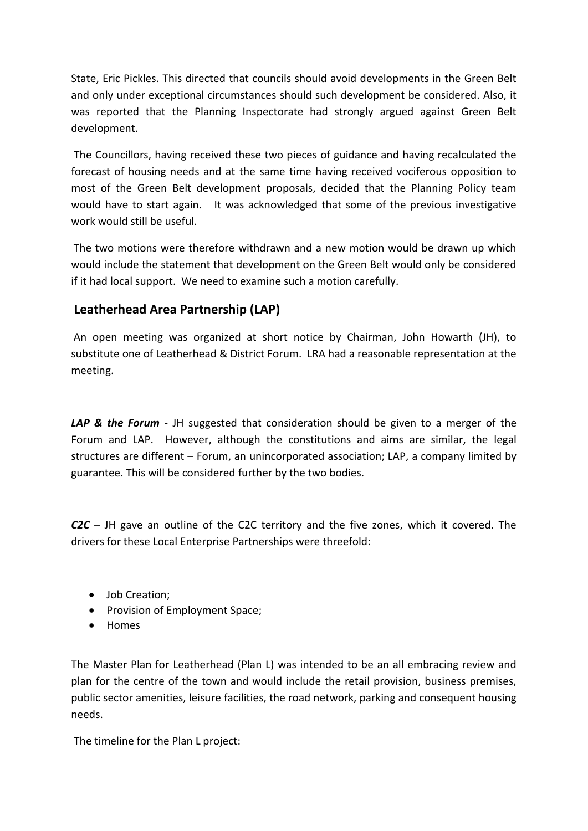State, Eric Pickles. This directed that councils should avoid developments in the Green Belt and only under exceptional circumstances should such development be considered. Also, it was reported that the Planning Inspectorate had strongly argued against Green Belt development.

The Councillors, having received these two pieces of guidance and having recalculated the forecast of housing needs and at the same time having received vociferous opposition to most of the Green Belt development proposals, decided that the Planning Policy team would have to start again. It was acknowledged that some of the previous investigative work would still be useful.

The two motions were therefore withdrawn and a new motion would be drawn up which would include the statement that development on the Green Belt would only be considered if it had local support. We need to examine such a motion carefully.

### **Leatherhead Area Partnership (LAP)**

An open meeting was organized at short notice by Chairman, John Howarth (JH), to substitute one of Leatherhead & District Forum. LRA had a reasonable representation at the meeting.

*LAP & the Forum* - JH suggested that consideration should be given to a merger of the Forum and LAP. However, although the constitutions and aims are similar, the legal structures are different – Forum, an unincorporated association; LAP, a company limited by guarantee. This will be considered further by the two bodies.

*C2C* – JH gave an outline of the C2C territory and the five zones, which it covered. The drivers for these Local Enterprise Partnerships were threefold:

- Job Creation;
- Provision of Employment Space;
- Homes

The Master Plan for Leatherhead (Plan L) was intended to be an all embracing review and plan for the centre of the town and would include the retail provision, business premises, public sector amenities, leisure facilities, the road network, parking and consequent housing needs.

The timeline for the Plan L project: